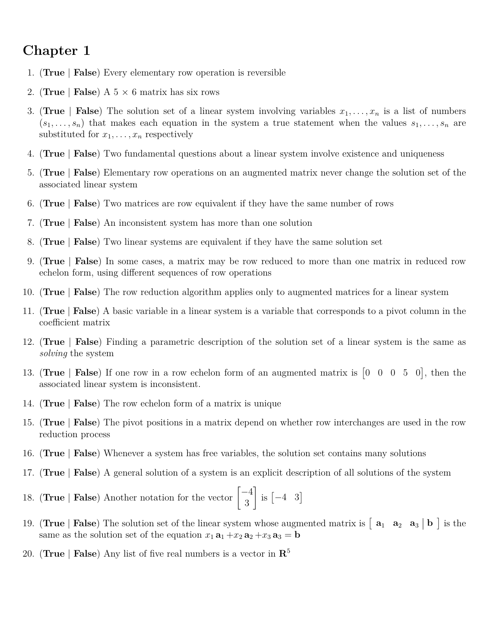## **Chapter 1**

- 1. (**True** | **False**) Every elementary row operation is reversible
- 2. (**True** | **False**) A  $5 \times 6$  matrix has six rows
- 3. (**True** | **False**) The solution set of a linear system involving variables  $x_1, \ldots, x_n$  is a list of numbers  $(s_1, \ldots, s_n)$  that makes each equation in the system a true statement when the values  $s_1, \ldots, s_n$  are substituted for  $x_1, \ldots, x_n$  respectively
- 4. (**True** | **False**) Two fundamental questions about a linear system involve existence and uniqueness
- 5. (**True** | **False**) Elementary row operations on an augmented matrix never change the solution set of the associated linear system
- 6. (**True** | **False**) Two matrices are row equivalent if they have the same number of rows
- 7. (**True** | **False**) An inconsistent system has more than one solution
- 8. (**True** | **False**) Two linear systems are equivalent if they have the same solution set
- 9. (**True** | **False**) In some cases, a matrix may be row reduced to more than one matrix in reduced row echelon form, using different sequences of row operations
- 10. (**True** | **False**) The row reduction algorithm applies only to augmented matrices for a linear system
- 11. (**True** | **False**) A basic variable in a linear system is a variable that corresponds to a pivot column in the coefficient matrix
- 12. (**True** | **False**) Finding a parametric description of the solution set of a linear system is the same as *solving* the system
- 13. (True | False) If one row in a row echelon form of an augmented matrix is  $\begin{bmatrix} 0 & 0 & 0 & 5 & 0 \end{bmatrix}$ , then the associated linear system is inconsistent.
- 14. (**True** | **False**) The row echelon form of a matrix is unique
- 15. (**True** | **False**) The pivot positions in a matrix depend on whether row interchanges are used in the row reduction process
- 16. (**True** | **False**) Whenever a system has free variables, the solution set contains many solutions
- 17. (**True** | **False**) A general solution of a system is an explicit description of all solutions of the system
- 18. (**True** | **False**) Another notation for the vector  $\begin{bmatrix} -4 \\ 2 \end{bmatrix}$ 3  $\Big]$  is  $\begin{bmatrix} -4 & 3 \end{bmatrix}$
- 19. (True | **False**) The solution set of the linear system whose augmented matrix is  $\begin{bmatrix} a_1 & a_2 & a_3 \end{bmatrix}$  is the same as the solution set of the equation  $x_1 \mathbf{a}_1 + x_2 \mathbf{a}_2 + x_3 \mathbf{a}_3 = \mathbf{b}$
- 20. (**True** | **False**) Any list of five real numbers is a vector in **R** 5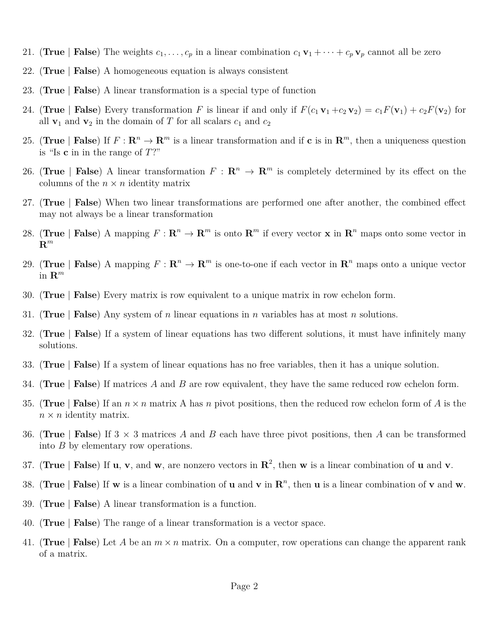- 21. (True | False) The weights  $c_1, \ldots, c_p$  in a linear combination  $c_1 \mathbf{v}_1 + \cdots + c_p \mathbf{v}_p$  cannot all be zero
- 22. (**True** | **False**) A homogeneous equation is always consistent
- 23. (**True** | **False**) A linear transformation is a special type of function
- 24. (True | **False**) Every transformation *F* is linear if and only if  $F(c_1 \mathbf{v}_1 + c_2 \mathbf{v}_2) = c_1 F(\mathbf{v}_1) + c_2 F(\mathbf{v}_2)$  for all  $\mathbf{v}_1$  and  $\mathbf{v}_2$  in the domain of *T* for all scalars  $c_1$  and  $c_2$
- 25. (True | **False**) If  $F: \mathbb{R}^n \to \mathbb{R}^m$  is a linear transformation and if **c** is in  $\mathbb{R}^m$ , then a uniqueness question is "Is **c** in in the range of *T*?"
- 26. (True | **False**) A linear transformation  $F : \mathbb{R}^n \to \mathbb{R}^m$  is completely determined by its effect on the columns of the  $n \times n$  identity matrix
- 27. (**True** | **False**) When two linear transformations are performed one after another, the combined effect may not always be a linear transformation
- 28. (True | **False**) A mapping  $F: \mathbb{R}^n \to \mathbb{R}^m$  is onto  $\mathbb{R}^m$  if every vector **x** in  $\mathbb{R}^n$  maps onto some vector in **R** *m*
- 29. (True | False) A mapping  $F: \mathbb{R}^n \to \mathbb{R}^m$  is one-to-one if each vector in  $\mathbb{R}^n$  maps onto a unique vector in **R** *m*
- 30. (**True** | **False**) Every matrix is row equivalent to a unique matrix in row echelon form.
- 31. (**True** | **False**) Any system of *n* linear equations in *n* variables has at most *n* solutions.
- 32. (**True** | **False**) If a system of linear equations has two different solutions, it must have infinitely many solutions.
- 33. (**True** | **False**) If a system of linear equations has no free variables, then it has a unique solution.
- 34. (**True** | **False**) If matrices *A* and *B* are row equivalent, they have the same reduced row echelon form.
- 35. (**True** | **False**) If an *n* × *n* matrix A has *n* pivot positions, then the reduced row echelon form of *A* is the  $n \times n$  identity matrix.
- 36. (**True** | **False**) If 3 × 3 matrices *A* and *B* each have three pivot positions, then *A* can be transformed into *B* by elementary row operations.
- 37. (True | False) If **u**, **v**, and **w**, are nonzero vectors in  $\mathbb{R}^2$ , then **w** is a linear combination of **u** and **v**.
- 38. (True | **False**) If **w** is a linear combination of **u** and **v** in  $\mathbb{R}^n$ , then **u** is a linear combination of **v** and **w**.
- 39. (**True** | **False**) A linear transformation is a function.
- 40. (**True** | **False**) The range of a linear transformation is a vector space.
- 41. (**True** | **False**) Let *A* be an *m* × *n* matrix. On a computer, row operations can change the apparent rank of a matrix.